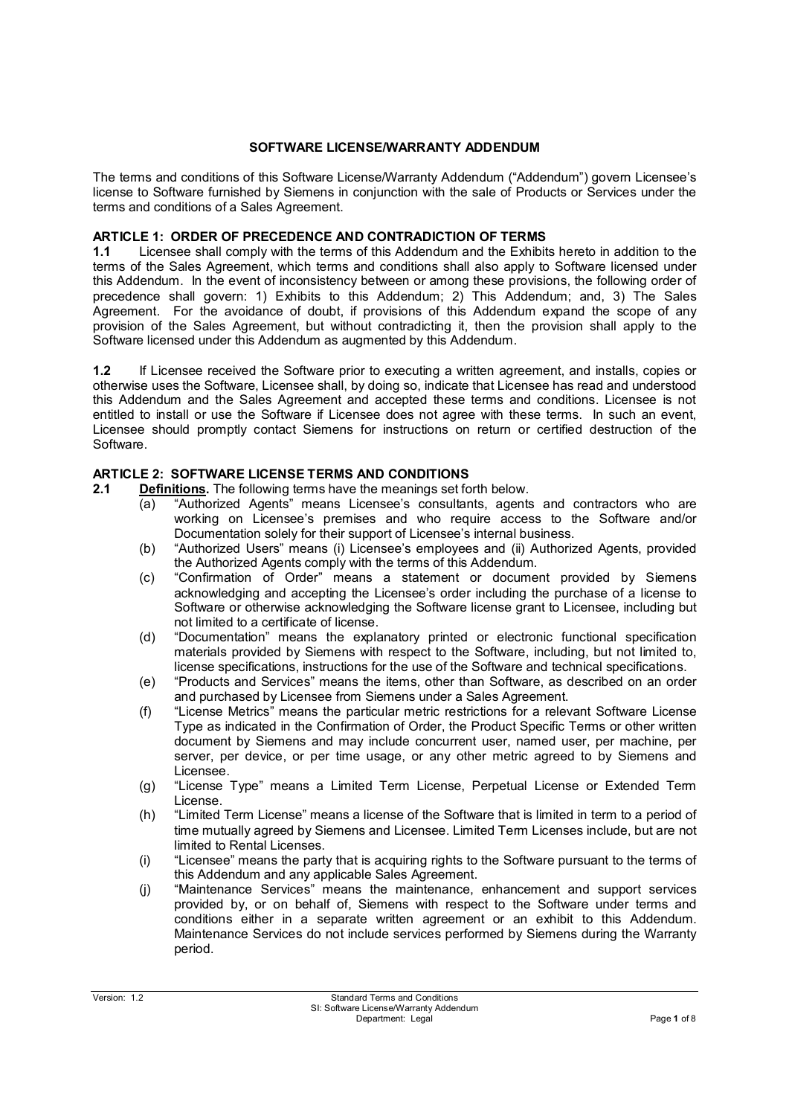#### **SOFTWARE LICENSE/WARRANTY ADDENDUM**

The terms and conditions of this Software License/Warranty Addendum ("Addendum") govern Licensee's license to Software furnished by Siemens in conjunction with the sale of Products or Services under the terms and conditions of a Sales Agreement.

### **ARTICLE 1: ORDER OF PRECEDENCE AND CONTRADICTION OF TERMS**

**1.1** Licensee shall comply with the terms of this Addendum and the Exhibits hereto in addition to the terms of the Sales Agreement, which terms and conditions shall also apply to Software licensed under this Addendum. In the event of inconsistency between or among these provisions, the following order of precedence shall govern: 1) Exhibits to this Addendum; 2) This Addendum; and, 3) The Sales Agreement. For the avoidance of doubt, if provisions of this Addendum expand the scope of any provision of the Sales Agreement, but without contradicting it, then the provision shall apply to the Software licensed under this Addendum as augmented by this Addendum.

**1.2** If Licensee received the Software prior to executing a written agreement, and installs, copies or otherwise uses the Software, Licensee shall, by doing so, indicate that Licensee has read and understood this Addendum and the Sales Agreement and accepted these terms and conditions. Licensee is not entitled to install or use the Software if Licensee does not agree with these terms. In such an event, Licensee should promptly contact Siemens for instructions on return or certified destruction of the Software.

#### **ARTICLE 2: SOFTWARE LICENSE TERMS AND CONDITIONS**

**2.1 Definitions.** The following terms have the meanings set forth below.

- (a) "Authorized Agents" means Licensee's consultants, agents and contractors who are working on Licensee's premises and who require access to the Software and/or Documentation solely for their support of Licensee's internal business.
- (b) "Authorized Users" means (i) Licensee's employees and (ii) Authorized Agents, provided the Authorized Agents comply with the terms of this Addendum.
- (c) "Confirmation of Order" means a statement or document provided by Siemens acknowledging and accepting the Licensee's order including the purchase of a license to Software or otherwise acknowledging the Software license grant to Licensee, including but not limited to a certificate of license.
- (d) "Documentation" means the explanatory printed or electronic functional specification materials provided by Siemens with respect to the Software, including, but not limited to, license specifications, instructions for the use of the Software and technical specifications.
- (e) "Products and Services" means the items, other than Software, as described on an order and purchased by Licensee from Siemens under a Sales Agreement.
- (f) "License Metrics" means the particular metric restrictions for a relevant Software License Type as indicated in the Confirmation of Order, the Product Specific Terms or other written document by Siemens and may include concurrent user, named user, per machine, per server, per device, or per time usage, or any other metric agreed to by Siemens and Licensee.
- (g) "License Type" means a Limited Term License, Perpetual License or Extended Term License.
- (h) "Limited Term License" means a license of the Software that is limited in term to a period of time mutually agreed by Siemens and Licensee. Limited Term Licenses include, but are not limited to Rental Licenses.
- (i) "Licensee" means the party that is acquiring rights to the Software pursuant to the terms of this Addendum and any applicable Sales Agreement.
- (j) "Maintenance Services" means the maintenance, enhancement and support services provided by, or on behalf of, Siemens with respect to the Software under terms and conditions either in a separate written agreement or an exhibit to this Addendum. Maintenance Services do not include services performed by Siemens during the Warranty period.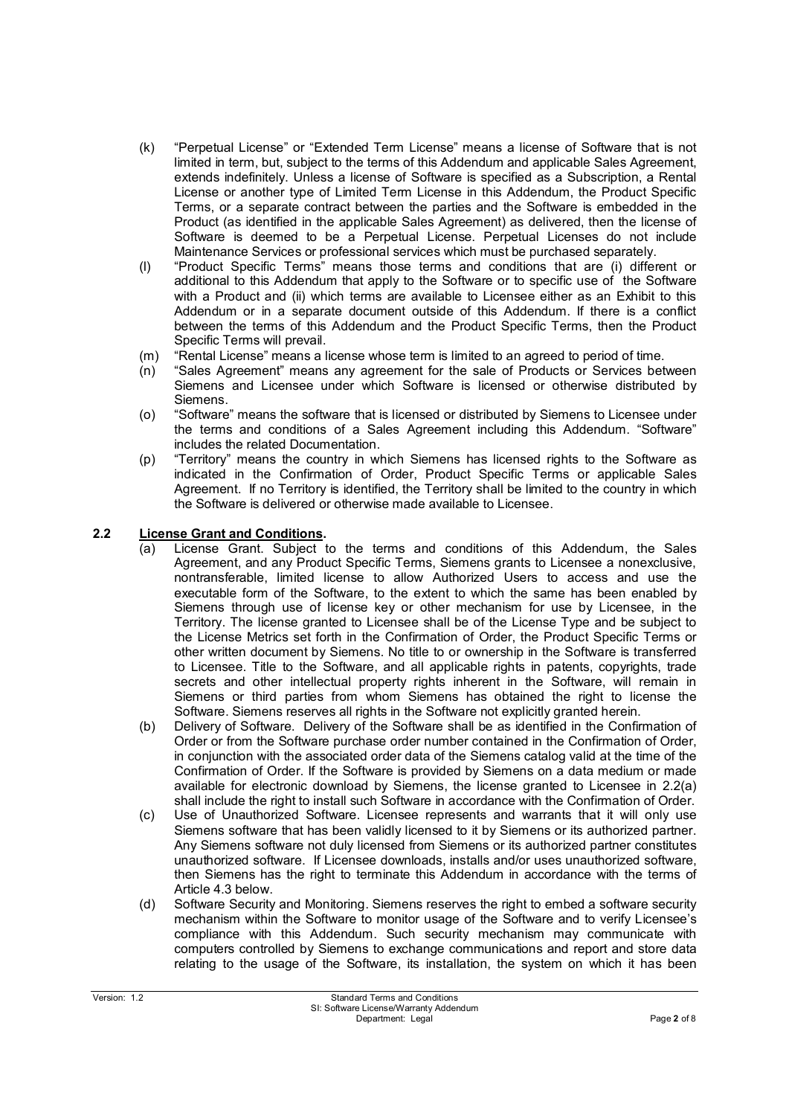- (k) "Perpetual License" or "Extended Term License" means a license of Software that is not limited in term, but, subject to the terms of this Addendum and applicable Sales Agreement, extends indefinitely. Unless a license of Software is specified as a Subscription, a Rental License or another type of Limited Term License in this Addendum, the Product Specific Terms, or a separate contract between the parties and the Software is embedded in the Product (as identified in the applicable Sales Agreement) as delivered, then the license of Software is deemed to be a Perpetual License. Perpetual Licenses do not include Maintenance Services or professional services which must be purchased separately.
- (l) "Product Specific Terms" means those terms and conditions that are (i) different or additional to this Addendum that apply to the Software or to specific use of the Software with a Product and (ii) which terms are available to Licensee either as an Exhibit to this Addendum or in a separate document outside of this Addendum. If there is a conflict between the terms of this Addendum and the Product Specific Terms, then the Product Specific Terms will prevail.
- (m) "Rental License" means a license whose term is limited to an agreed to period of time.
- (n) "Sales Agreement" means any agreement for the sale of Products or Services between Siemens and Licensee under which Software is licensed or otherwise distributed by Siemens.
- (o) "Software" means the software that is licensed or distributed by Siemens to Licensee under the terms and conditions of a Sales Agreement including this Addendum. "Software" includes the related Documentation.
- (p) "Territory" means the country in which Siemens has licensed rights to the Software as indicated in the Confirmation of Order, Product Specific Terms or applicable Sales Agreement. If no Territory is identified, the Territory shall be limited to the country in which the Software is delivered or otherwise made available to Licensee.

### **2.2 License Grant and Conditions.**

- (a) License Grant. Subject to the terms and conditions of this Addendum, the Sales Agreement, and any Product Specific Terms, Siemens grants to Licensee a nonexclusive, nontransferable, limited license to allow Authorized Users to access and use the executable form of the Software, to the extent to which the same has been enabled by Siemens through use of license key or other mechanism for use by Licensee, in the Territory. The license granted to Licensee shall be of the License Type and be subject to the License Metrics set forth in the Confirmation of Order, the Product Specific Terms or other written document by Siemens. No title to or ownership in the Software is transferred to Licensee. Title to the Software, and all applicable rights in patents, copyrights, trade secrets and other intellectual property rights inherent in the Software, will remain in Siemens or third parties from whom Siemens has obtained the right to license the Software. Siemens reserves all rights in the Software not explicitly granted herein.
- (b) Delivery of Software. Delivery of the Software shall be as identified in the Confirmation of Order or from the Software purchase order number contained in the Confirmation of Order, in conjunction with the associated order data of the Siemens catalog valid at the time of the Confirmation of Order. If the Software is provided by Siemens on a data medium or made available for electronic download by Siemens, the license granted to Licensee in 2.2(a) shall include the right to install such Software in accordance with the Confirmation of Order.
- (c) Use of Unauthorized Software. Licensee represents and warrants that it will only use Siemens software that has been validly licensed to it by Siemens or its authorized partner. Any Siemens software not duly licensed from Siemens or its authorized partner constitutes unauthorized software. If Licensee downloads, installs and/or uses unauthorized software, then Siemens has the right to terminate this Addendum in accordance with the terms of Article 4.3 below.
- (d) Software Security and Monitoring. Siemens reserves the right to embed a software security mechanism within the Software to monitor usage of the Software and to verify Licensee's compliance with this Addendum. Such security mechanism may communicate with computers controlled by Siemens to exchange communications and report and store data relating to the usage of the Software, its installation, the system on which it has been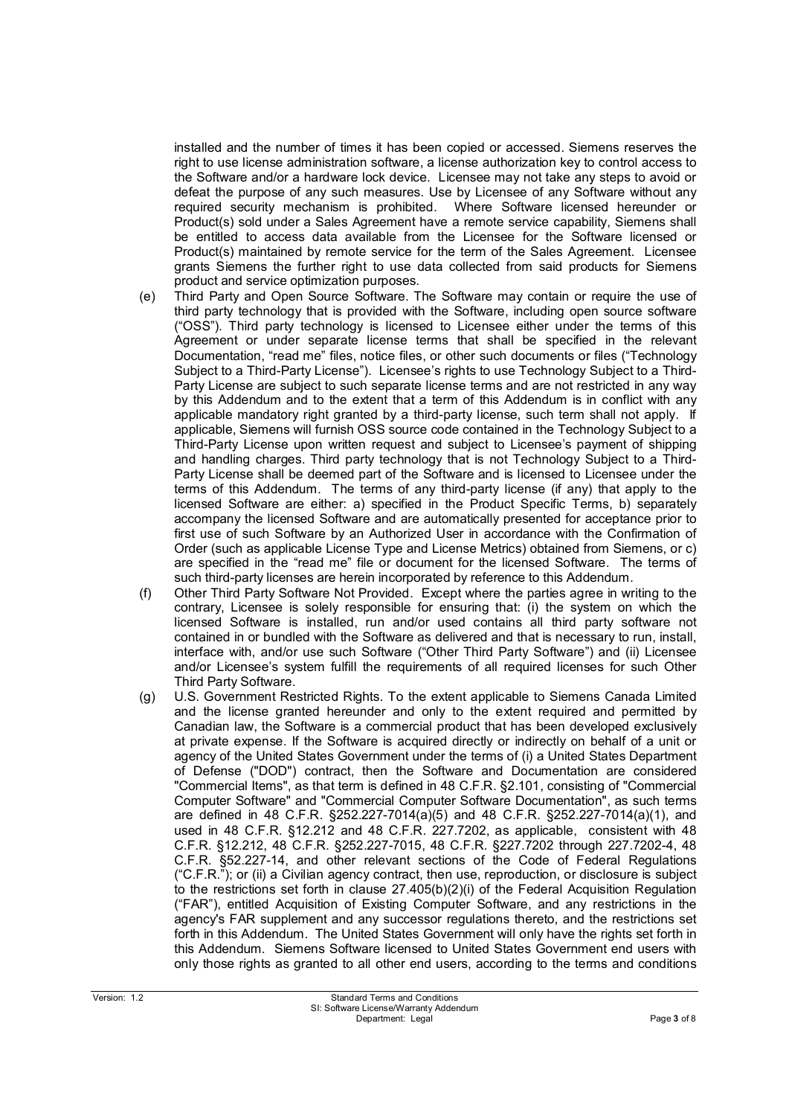installed and the number of times it has been copied or accessed. Siemens reserves the right to use license administration software, a license authorization key to control access to the Software and/or a hardware lock device. Licensee may not take any steps to avoid or defeat the purpose of any such measures. Use by Licensee of any Software without any required security mechanism is prohibited. Where Software licensed hereunder or Product(s) sold under a Sales Agreement have a remote service capability, Siemens shall be entitled to access data available from the Licensee for the Software licensed or Product(s) maintained by remote service for the term of the Sales Agreement. Licensee grants Siemens the further right to use data collected from said products for Siemens product and service optimization purposes.

- (e) Third Party and Open Source Software. The Software may contain or require the use of third party technology that is provided with the Software, including open source software ("OSS"). Third party technology is licensed to Licensee either under the terms of this Agreement or under separate license terms that shall be specified in the relevant Documentation, "read me" files, notice files, or other such documents or files ("Technology Subject to a Third-Party License"). Licensee's rights to use Technology Subject to a Third-Party License are subject to such separate license terms and are not restricted in any way by this Addendum and to the extent that a term of this Addendum is in conflict with any applicable mandatory right granted by a third-party license, such term shall not apply. If applicable, Siemens will furnish OSS source code contained in the Technology Subject to a Third-Party License upon written request and subject to Licensee's payment of shipping and handling charges. Third party technology that is not Technology Subject to a Third-Party License shall be deemed part of the Software and is licensed to Licensee under the terms of this Addendum. The terms of any third-party license (if any) that apply to the licensed Software are either: a) specified in the Product Specific Terms, b) separately accompany the licensed Software and are automatically presented for acceptance prior to first use of such Software by an Authorized User in accordance with the Confirmation of Order (such as applicable License Type and License Metrics) obtained from Siemens, or c) are specified in the "read me" file or document for the licensed Software. The terms of such third-party licenses are herein incorporated by reference to this Addendum.
- (f) Other Third Party Software Not Provided. Except where the parties agree in writing to the contrary, Licensee is solely responsible for ensuring that: (i) the system on which the licensed Software is installed, run and/or used contains all third party software not contained in or bundled with the Software as delivered and that is necessary to run, install, interface with, and/or use such Software ("Other Third Party Software") and (ii) Licensee and/or Licensee's system fulfill the requirements of all required licenses for such Other Third Party Software.
- (g) U.S. Government Restricted Rights. To the extent applicable to Siemens Canada Limited and the license granted hereunder and only to the extent required and permitted by Canadian law, the Software is a commercial product that has been developed exclusively at private expense. If the Software is acquired directly or indirectly on behalf of a unit or agency of the United States Government under the terms of (i) a United States Department of Defense ("DOD") contract, then the Software and Documentation are considered "Commercial Items", as that term is defined in 48 C.F.R. §2.101, consisting of "Commercial Computer Software" and "Commercial Computer Software Documentation", as such terms are defined in 48 C.F.R. §252.227-7014(a)(5) and 48 C.F.R. §252.227-7014(a)(1), and used in 48 C.F.R. §12.212 and 48 C.F.R. 227.7202, as applicable, consistent with 48 C.F.R. §12.212, 48 C.F.R. §252.227-7015, 48 C.F.R. §227.7202 through 227.7202-4, 48 C.F.R. §52.227-14, and other relevant sections of the Code of Federal Regulations ("C.F.R."); or (ii) a Civilian agency contract, then use, reproduction, or disclosure is subject to the restrictions set forth in clause  $27.405(b)(2)(i)$  of the Federal Acquisition Regulation ("FAR"), entitled Acquisition of Existing Computer Software, and any restrictions in the agency's FAR supplement and any successor regulations thereto, and the restrictions set forth in this Addendum. The United States Government will only have the rights set forth in this Addendum. Siemens Software licensed to United States Government end users with only those rights as granted to all other end users, according to the terms and conditions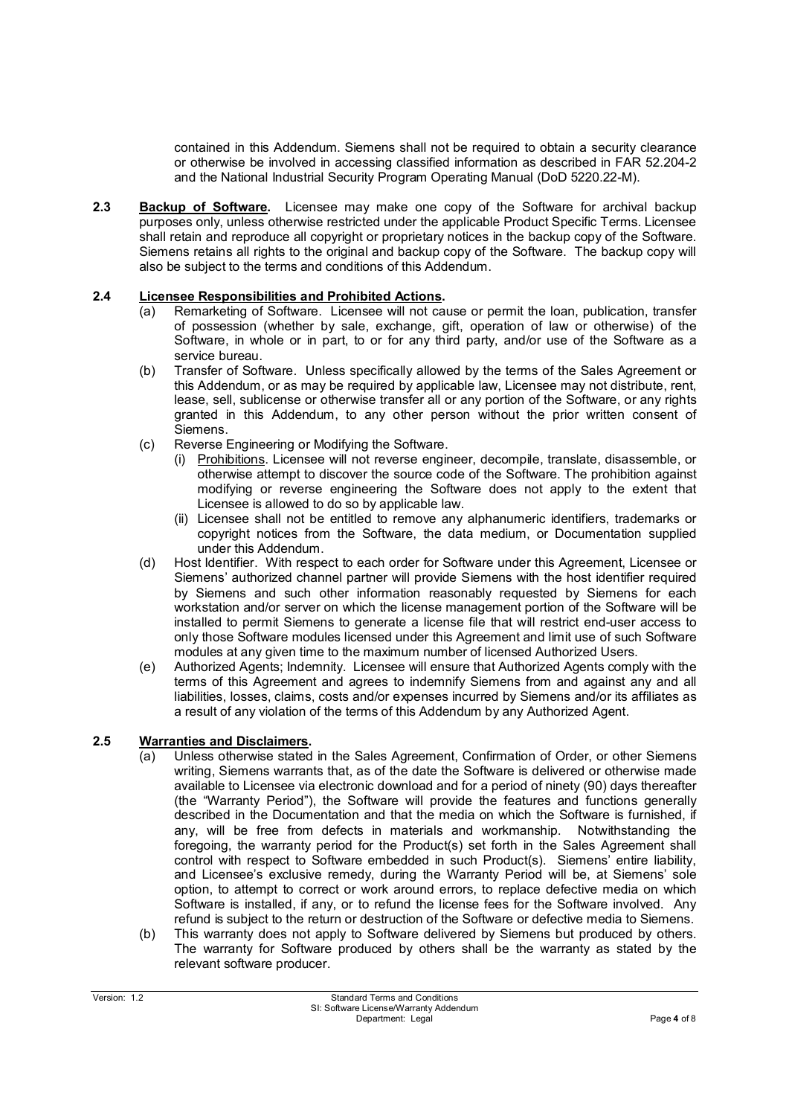contained in this Addendum. Siemens shall not be required to obtain a security clearance or otherwise be involved in accessing classified information as described in FAR 52.204-2 and the National Industrial Security Program Operating Manual (DoD 5220.22-M).

**2.3 Backup of Software.** Licensee may make one copy of the Software for archival backup purposes only, unless otherwise restricted under the applicable Product Specific Terms. Licensee shall retain and reproduce all copyright or proprietary notices in the backup copy of the Software. Siemens retains all rights to the original and backup copy of the Software. The backup copy will also be subject to the terms and conditions of this Addendum.

### **2.4 Licensee Responsibilities and Prohibited Actions.**

- (a) Remarketing of Software. Licensee will not cause or permit the loan, publication, transfer of possession (whether by sale, exchange, gift, operation of law or otherwise) of the Software, in whole or in part, to or for any third party, and/or use of the Software as a service bureau.
- (b) Transfer of Software. Unless specifically allowed by the terms of the Sales Agreement or this Addendum, or as may be required by applicable law, Licensee may not distribute, rent, lease, sell, sublicense or otherwise transfer all or any portion of the Software, or any rights granted in this Addendum, to any other person without the prior written consent of Siemens.
- (c) Reverse Engineering or Modifying the Software.
	- (i) Prohibitions. Licensee will not reverse engineer, decompile, translate, disassemble, or otherwise attempt to discover the source code of the Software. The prohibition against modifying or reverse engineering the Software does not apply to the extent that Licensee is allowed to do so by applicable law.
	- (ii) Licensee shall not be entitled to remove any alphanumeric identifiers, trademarks or copyright notices from the Software, the data medium, or Documentation supplied under this Addendum.
- (d) Host Identifier. With respect to each order for Software under this Agreement, Licensee or Siemens' authorized channel partner will provide Siemens with the host identifier required by Siemens and such other information reasonably requested by Siemens for each workstation and/or server on which the license management portion of the Software will be installed to permit Siemens to generate a license file that will restrict end-user access to only those Software modules licensed under this Agreement and limit use of such Software modules at any given time to the maximum number of licensed Authorized Users.
- (e) Authorized Agents; Indemnity. Licensee will ensure that Authorized Agents comply with the terms of this Agreement and agrees to indemnify Siemens from and against any and all liabilities, losses, claims, costs and/or expenses incurred by Siemens and/or its affiliates as a result of any violation of the terms of this Addendum by any Authorized Agent.

### **2.5 Warranties and Disclaimers.**

- (a) Unless otherwise stated in the Sales Agreement, Confirmation of Order, or other Siemens writing, Siemens warrants that, as of the date the Software is delivered or otherwise made available to Licensee via electronic download and for a period of ninety (90) days thereafter (the "Warranty Period"), the Software will provide the features and functions generally described in the Documentation and that the media on which the Software is furnished, if any, will be free from defects in materials and workmanship. Notwithstanding the foregoing, the warranty period for the Product(s) set forth in the Sales Agreement shall control with respect to Software embedded in such Product(s). Siemens' entire liability, and Licensee's exclusive remedy, during the Warranty Period will be, at Siemens' sole option, to attempt to correct or work around errors, to replace defective media on which Software is installed, if any, or to refund the license fees for the Software involved. Any refund is subject to the return or destruction of the Software or defective media to Siemens.
- (b) This warranty does not apply to Software delivered by Siemens but produced by others. The warranty for Software produced by others shall be the warranty as stated by the relevant software producer.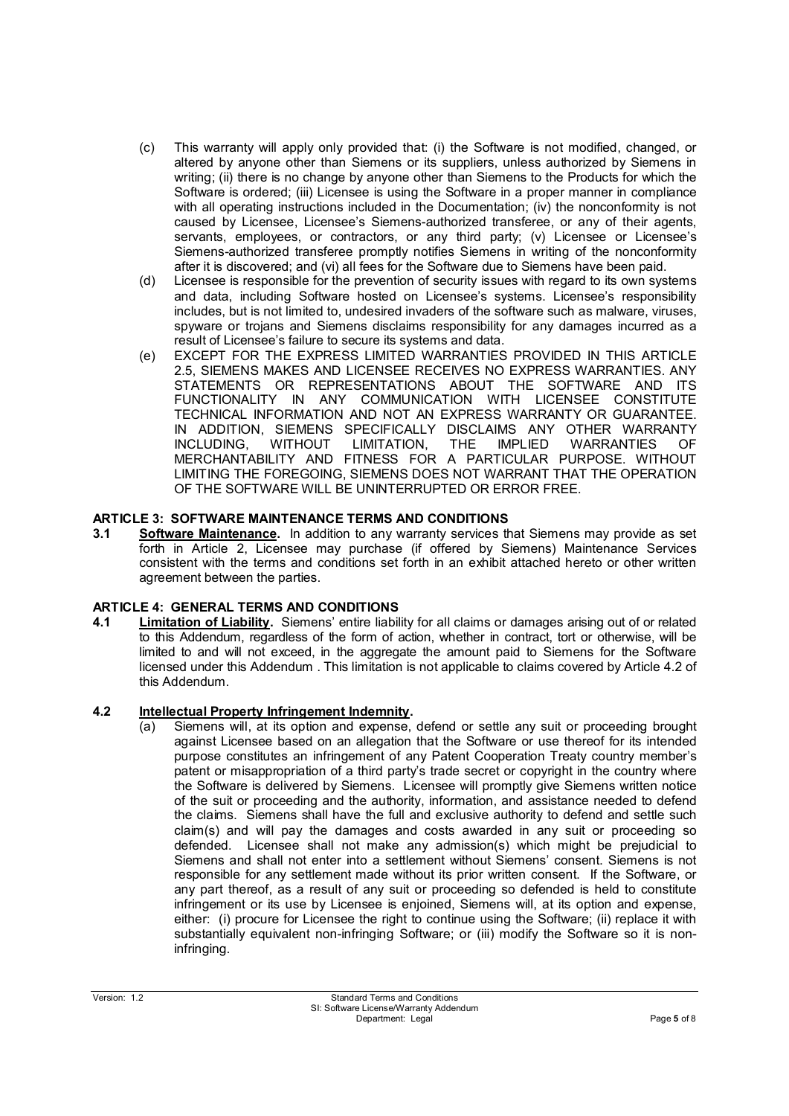- (c) This warranty will apply only provided that: (i) the Software is not modified, changed, or altered by anyone other than Siemens or its suppliers, unless authorized by Siemens in writing; (ii) there is no change by anyone other than Siemens to the Products for which the Software is ordered; (iii) Licensee is using the Software in a proper manner in compliance with all operating instructions included in the Documentation; (iv) the nonconformity is not caused by Licensee, Licensee's Siemens-authorized transferee, or any of their agents, servants, employees, or contractors, or any third party; (v) Licensee or Licensee's Siemens-authorized transferee promptly notifies Siemens in writing of the nonconformity after it is discovered; and (vi) all fees for the Software due to Siemens have been paid.
- (d) Licensee is responsible for the prevention of security issues with regard to its own systems and data, including Software hosted on Licensee's systems. Licensee's responsibility includes, but is not limited to, undesired invaders of the software such as malware, viruses, spyware or trojans and Siemens disclaims responsibility for any damages incurred as a result of Licensee's failure to secure its systems and data.
- (e) EXCEPT FOR THE EXPRESS LIMITED WARRANTIES PROVIDED IN THIS ARTICLE 2.5, SIEMENS MAKES AND LICENSEE RECEIVES NO EXPRESS WARRANTIES. ANY STATEMENTS OR REPRESENTATIONS ABOUT THE SOFTWARE AND ITS FUNCTIONALITY IN ANY COMMUNICATION WITH LICENSEE CONSTITUTE TECHNICAL INFORMATION AND NOT AN EXPRESS WARRANTY OR GUARANTEE. IN ADDITION, SIEMENS SPECIFICALLY DISCLAIMS ANY OTHER WARRANTY<br>INCLUDING. WITHOUT LIMITATION. THE IMPLIED WARRANTIES OF INCLUDING, WITHOUT LIMITATION, THE IMPLIED WARRANTIES OF MERCHANTABILITY AND FITNESS FOR A PARTICULAR PURPOSE. WITHOUT LIMITING THE FOREGOING, SIEMENS DOES NOT WARRANT THAT THE OPERATION OF THE SOFTWARE WILL BE UNINTERRUPTED OR ERROR FREE.

### **ARTICLE 3: SOFTWARE MAINTENANCE TERMS AND CONDITIONS**

**3.1 Software Maintenance.** In addition to any warranty services that Siemens may provide as set forth in Article 2, Licensee may purchase (if offered by Siemens) Maintenance Services consistent with the terms and conditions set forth in an exhibit attached hereto or other written agreement between the parties.

### **ARTICLE 4: GENERAL TERMS AND CONDITIONS**

**4.1 Limitation of Liability.** Siemens' entire liability for all claims or damages arising out of or related to this Addendum, regardless of the form of action, whether in contract, tort or otherwise, will be limited to and will not exceed, in the aggregate the amount paid to Siemens for the Software licensed under this Addendum . This limitation is not applicable to claims covered by Article 4.2 of this Addendum.

### **4.2 Intellectual Property Infringement Indemnity.**

(a) Siemens will, at its option and expense, defend or settle any suit or proceeding brought against Licensee based on an allegation that the Software or use thereof for its intended purpose constitutes an infringement of any Patent Cooperation Treaty country member's patent or misappropriation of a third party's trade secret or copyright in the country where the Software is delivered by Siemens. Licensee will promptly give Siemens written notice of the suit or proceeding and the authority, information, and assistance needed to defend the claims. Siemens shall have the full and exclusive authority to defend and settle such claim(s) and will pay the damages and costs awarded in any suit or proceeding so defended. Licensee shall not make any admission(s) which might be prejudicial to Siemens and shall not enter into a settlement without Siemens' consent. Siemens is not responsible for any settlement made without its prior written consent. If the Software, or any part thereof, as a result of any suit or proceeding so defended is held to constitute infringement or its use by Licensee is enjoined, Siemens will, at its option and expense, either: (i) procure for Licensee the right to continue using the Software; (ii) replace it with substantially equivalent non-infringing Software; or (iii) modify the Software so it is noninfringing.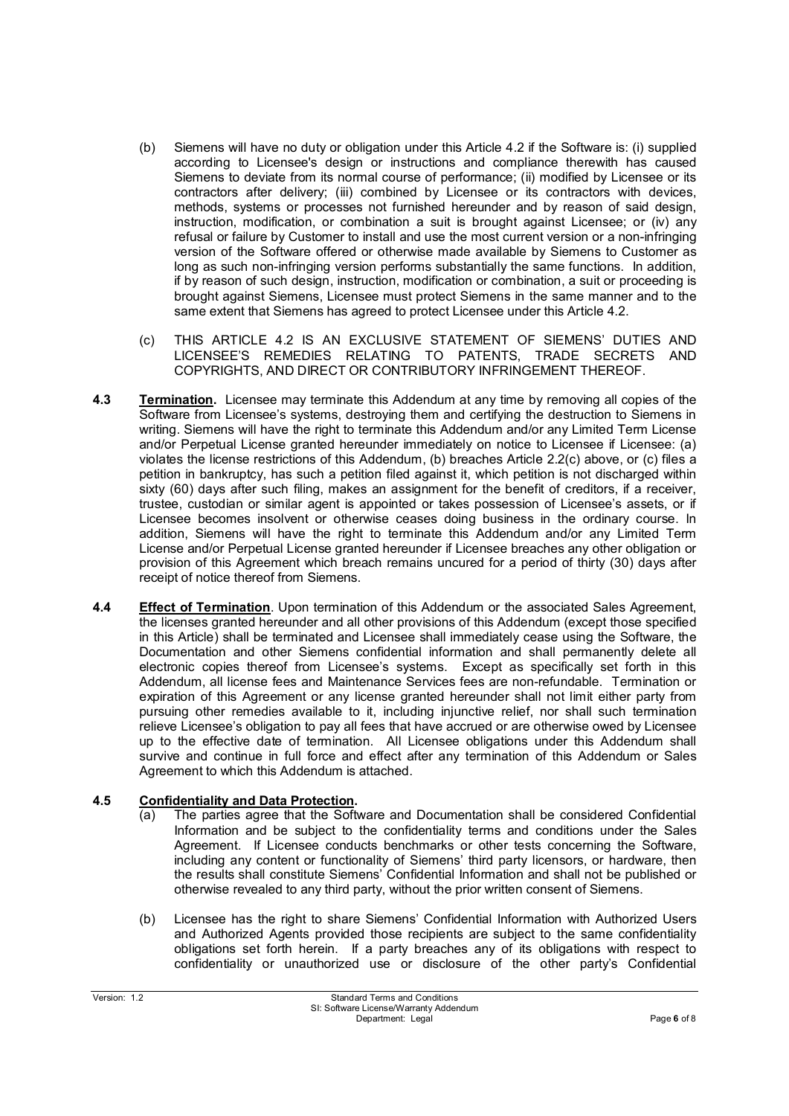- (b) Siemens will have no duty or obligation under this Article 4.2 if the Software is: (i) supplied according to Licensee's design or instructions and compliance therewith has caused Siemens to deviate from its normal course of performance; (ii) modified by Licensee or its contractors after delivery; (iii) combined by Licensee or its contractors with devices, methods, systems or processes not furnished hereunder and by reason of said design, instruction, modification, or combination a suit is brought against Licensee; or (iv) any refusal or failure by Customer to install and use the most current version or a non-infringing version of the Software offered or otherwise made available by Siemens to Customer as long as such non-infringing version performs substantially the same functions. In addition, if by reason of such design, instruction, modification or combination, a suit or proceeding is brought against Siemens, Licensee must protect Siemens in the same manner and to the same extent that Siemens has agreed to protect Licensee under this Article 4.2.
- (c) THIS ARTICLE 4.2 IS AN EXCLUSIVE STATEMENT OF SIEMENS' DUTIES AND LICENSEE'S REMEDIES RELATING TO PATENTS, TRADE SECRETS AND COPYRIGHTS, AND DIRECT OR CONTRIBUTORY INFRINGEMENT THEREOF.
- **4.3 Termination.** Licensee may terminate this Addendum at any time by removing all copies of the Software from Licensee's systems, destroying them and certifying the destruction to Siemens in writing. Siemens will have the right to terminate this Addendum and/or any Limited Term License and/or Perpetual License granted hereunder immediately on notice to Licensee if Licensee: (a) violates the license restrictions of this Addendum, (b) breaches Article 2.2(c) above, or (c) files a petition in bankruptcy, has such a petition filed against it, which petition is not discharged within sixty (60) days after such filing, makes an assignment for the benefit of creditors, if a receiver, trustee, custodian or similar agent is appointed or takes possession of Licensee's assets, or if Licensee becomes insolvent or otherwise ceases doing business in the ordinary course. In addition, Siemens will have the right to terminate this Addendum and/or any Limited Term License and/or Perpetual License granted hereunder if Licensee breaches any other obligation or provision of this Agreement which breach remains uncured for a period of thirty (30) days after receipt of notice thereof from Siemens.
- **4.4 Effect of Termination**. Upon termination of this Addendum or the associated Sales Agreement, the licenses granted hereunder and all other provisions of this Addendum (except those specified in this Article) shall be terminated and Licensee shall immediately cease using the Software, the Documentation and other Siemens confidential information and shall permanently delete all electronic copies thereof from Licensee's systems. Except as specifically set forth in this Addendum, all license fees and Maintenance Services fees are non-refundable. Termination or expiration of this Agreement or any license granted hereunder shall not limit either party from pursuing other remedies available to it, including injunctive relief, nor shall such termination relieve Licensee's obligation to pay all fees that have accrued or are otherwise owed by Licensee up to the effective date of termination. All Licensee obligations under this Addendum shall survive and continue in full force and effect after any termination of this Addendum or Sales Agreement to which this Addendum is attached.

### **4.5 Confidentiality and Data Protection.**

- (a) The parties agree that the Software and Documentation shall be considered Confidential Information and be subject to the confidentiality terms and conditions under the Sales Agreement. If Licensee conducts benchmarks or other tests concerning the Software, including any content or functionality of Siemens' third party licensors, or hardware, then the results shall constitute Siemens' Confidential Information and shall not be published or otherwise revealed to any third party, without the prior written consent of Siemens.
- (b) Licensee has the right to share Siemens' Confidential Information with Authorized Users and Authorized Agents provided those recipients are subject to the same confidentiality obligations set forth herein. If a party breaches any of its obligations with respect to confidentiality or unauthorized use or disclosure of the other party's Confidential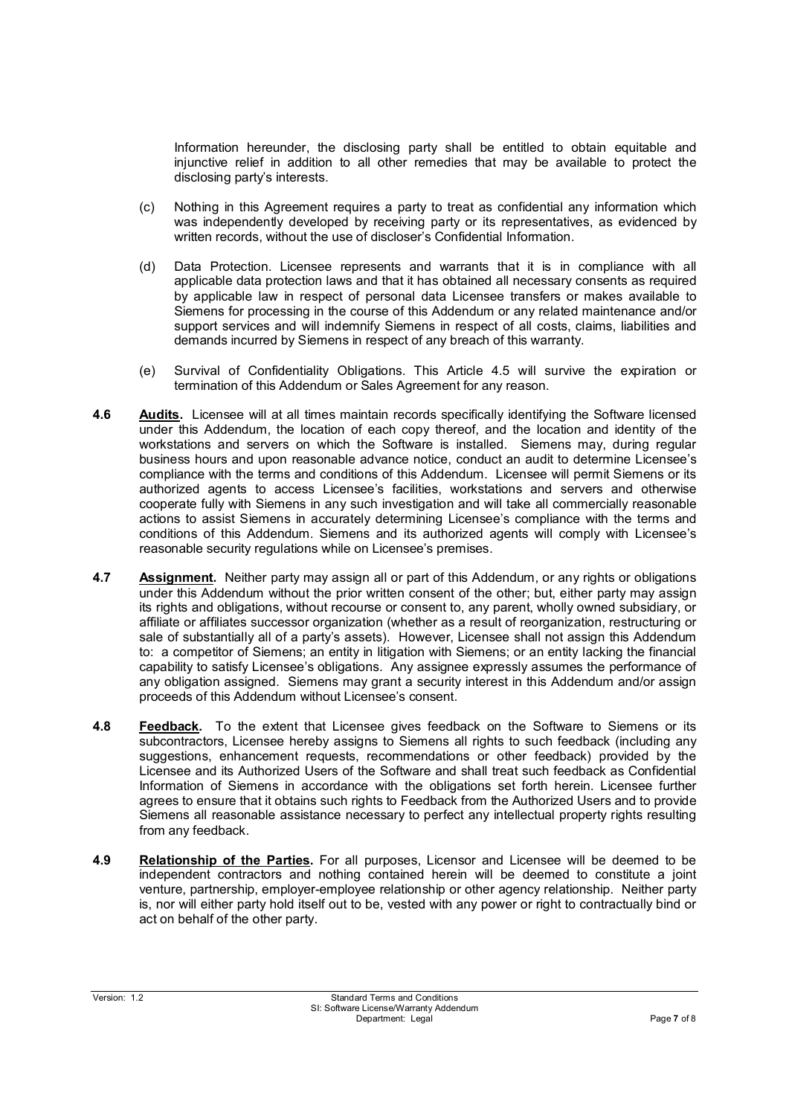Information hereunder, the disclosing party shall be entitled to obtain equitable and injunctive relief in addition to all other remedies that may be available to protect the disclosing party's interests.

- (c) Nothing in this Agreement requires a party to treat as confidential any information which was independently developed by receiving party or its representatives, as evidenced by written records, without the use of discloser's Confidential Information.
- (d) Data Protection. Licensee represents and warrants that it is in compliance with all applicable data protection laws and that it has obtained all necessary consents as required by applicable law in respect of personal data Licensee transfers or makes available to Siemens for processing in the course of this Addendum or any related maintenance and/or support services and will indemnify Siemens in respect of all costs, claims, liabilities and demands incurred by Siemens in respect of any breach of this warranty.
- (e) Survival of Confidentiality Obligations. This Article 4.5 will survive the expiration or termination of this Addendum or Sales Agreement for any reason.
- **4.6 Audits.** Licensee will at all times maintain records specifically identifying the Software licensed under this Addendum, the location of each copy thereof, and the location and identity of the workstations and servers on which the Software is installed. Siemens may, during regular business hours and upon reasonable advance notice, conduct an audit to determine Licensee's compliance with the terms and conditions of this Addendum. Licensee will permit Siemens or its authorized agents to access Licensee's facilities, workstations and servers and otherwise cooperate fully with Siemens in any such investigation and will take all commercially reasonable actions to assist Siemens in accurately determining Licensee's compliance with the terms and conditions of this Addendum. Siemens and its authorized agents will comply with Licensee's reasonable security regulations while on Licensee's premises.
- **4.7 Assignment.** Neither party may assign all or part of this Addendum, or any rights or obligations under this Addendum without the prior written consent of the other; but, either party may assign its rights and obligations, without recourse or consent to, any parent, wholly owned subsidiary, or affiliate or affiliates successor organization (whether as a result of reorganization, restructuring or sale of substantially all of a party's assets). However, Licensee shall not assign this Addendum to: a competitor of Siemens; an entity in litigation with Siemens; or an entity lacking the financial capability to satisfy Licensee's obligations. Any assignee expressly assumes the performance of any obligation assigned. Siemens may grant a security interest in this Addendum and/or assign proceeds of this Addendum without Licensee's consent.
- **4.8 Feedback.** To the extent that Licensee gives feedback on the Software to Siemens or its subcontractors, Licensee hereby assigns to Siemens all rights to such feedback (including any suggestions, enhancement requests, recommendations or other feedback) provided by the Licensee and its Authorized Users of the Software and shall treat such feedback as Confidential Information of Siemens in accordance with the obligations set forth herein. Licensee further agrees to ensure that it obtains such rights to Feedback from the Authorized Users and to provide Siemens all reasonable assistance necessary to perfect any intellectual property rights resulting from any feedback.
- **4.9 Relationship of the Parties.** For all purposes, Licensor and Licensee will be deemed to be independent contractors and nothing contained herein will be deemed to constitute a joint venture, partnership, employer-employee relationship or other agency relationship. Neither party is, nor will either party hold itself out to be, vested with any power or right to contractually bind or act on behalf of the other party.